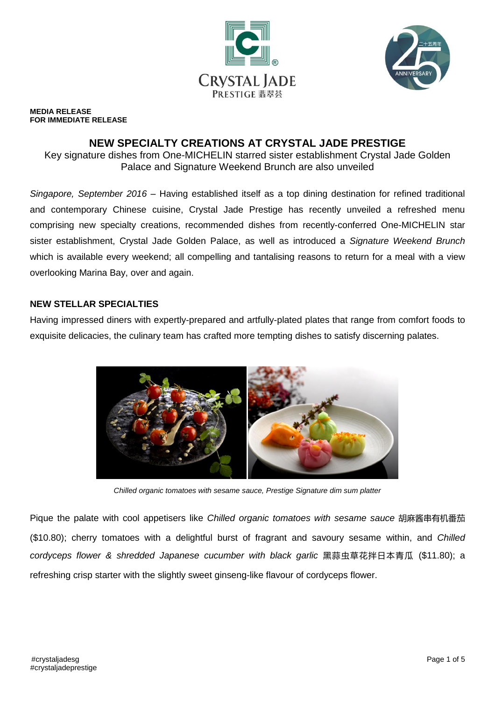



#### **MEDIA RELEASE FOR IMMEDIATE RELEASE**

# **NEW SPECIALTY CREATIONS AT CRYSTAL JADE PRESTIGE**

Key signature dishes from One-MICHELIN starred sister establishment Crystal Jade Golden Palace and Signature Weekend Brunch are also unveiled

*Singapore, September 2016* – Having established itself as a top dining destination for refined traditional and contemporary Chinese cuisine, Crystal Jade Prestige has recently unveiled a refreshed menu comprising new specialty creations, recommended dishes from recently-conferred One-MICHELIN star sister establishment, Crystal Jade Golden Palace, as well as introduced a *Signature Weekend Brunch* which is available every weekend; all compelling and tantalising reasons to return for a meal with a view overlooking Marina Bay, over and again.

### **NEW STELLAR SPECIALTIES**

Having impressed diners with expertly-prepared and artfully-plated plates that range from comfort foods to exquisite delicacies, the culinary team has crafted more tempting dishes to satisfy discerning palates.



*Chilled organic tomatoes with sesame sauce, Prestige Signature dim sum platter*

Pique the palate with cool appetisers like *Chilled organic tomatoes with sesame sauce* 胡麻酱串有机番茄 (\$10.80); cherry tomatoes with a delightful burst of fragrant and savoury sesame within, and *Chilled cordyceps flower & shredded Japanese cucumber with black garlic* 黑蒜虫草花拌日本青瓜 (\$11.80); a refreshing crisp starter with the slightly sweet ginseng-like flavour of cordyceps flower.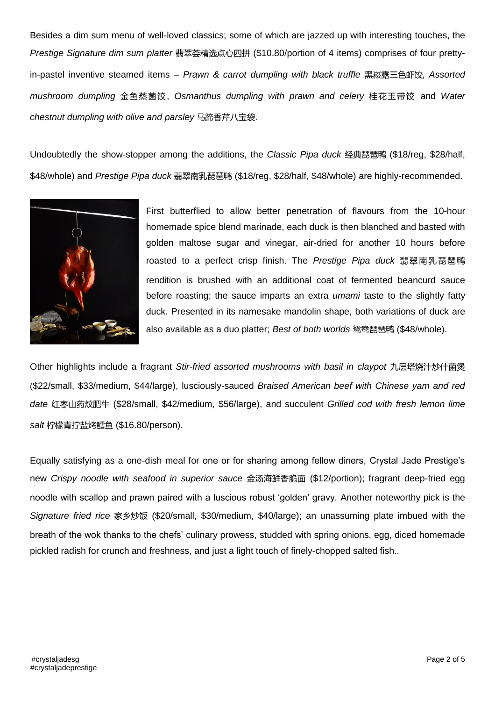Besides a dim sum menu of well-loved classics; some of which are jazzed up with interesting touches, the *Prestige Signature dim sum platter* 翡翠荟精选点心四拼 (\$10.80/portion of 4 items) comprises of four prettyin-pastel inventive steamed items – *Prawn & carrot dumpling with black truffle* 黑崧露三色虾饺, *Assorted mushroom dumpling* 金鱼蒸菌饺, *Osmanthus dumpling with prawn and celery* 桂花玉带饺 and *Water chestnut dumpling with olive and parsley* 马蹄香芹八宝袋.

Undoubtedly the show-stopper among the additions, the *Classic Pipa duck* 经典琵琶鸭 (\$18/reg, \$28/half, \$48/whole) and *Prestige Pipa duck* 翡翠南乳琵琶鸭 (\$18/reg, \$28/half, \$48/whole) are highly-recommended.



First butterflied to allow better penetration of flavours from the 10-hour homemade spice blend marinade, each duck is then blanched and basted with golden maltose sugar and vinegar, air-dried for another 10 hours before roasted to a perfect crisp finish. The *Prestige Pipa duck* 翡翠南乳琵琶鸭 rendition is brushed with an additional coat of fermented beancurd sauce before roasting; the sauce imparts an extra *umami* taste to the slightly fatty duck. Presented in its namesake mandolin shape, both variations of duck are also available as a duo platter; *Best of both worlds* 鸳鸯琵琶鸭 (\$48/whole).

Other highlights include a fragrant *Stir-fried assorted mushrooms with basil in claypot* 九层塔烧汁炒什菌煲 (\$22/small, \$33/medium, \$44/large), lusciously-sauced *Braised American beef with Chinese yam and red date* 红枣山药炆肥牛 (\$28/small, \$42/medium, \$56/large), and succulent *Grilled cod with fresh lemon lime salt* 柠檬青拧盐烤鳕鱼 (\$16.80/person).

Equally satisfying as a one-dish meal for one or for sharing among fellow diners, Crystal Jade Prestige's new *Crispy noodle with seafood in superior sauce* 金汤海鲜香脆面 (\$12/portion); fragrant deep-fried egg noodle with scallop and prawn paired with a luscious robust 'golden' gravy. Another noteworthy pick is the *Signature fried rice* 家乡炒饭 (\$20/small, \$30/medium, \$40/large); an unassuming plate imbued with the breath of the wok thanks to the chefs' culinary prowess, studded with spring onions, egg, diced homemade pickled radish for crunch and freshness, and just a light touch of finely-chopped salted fish..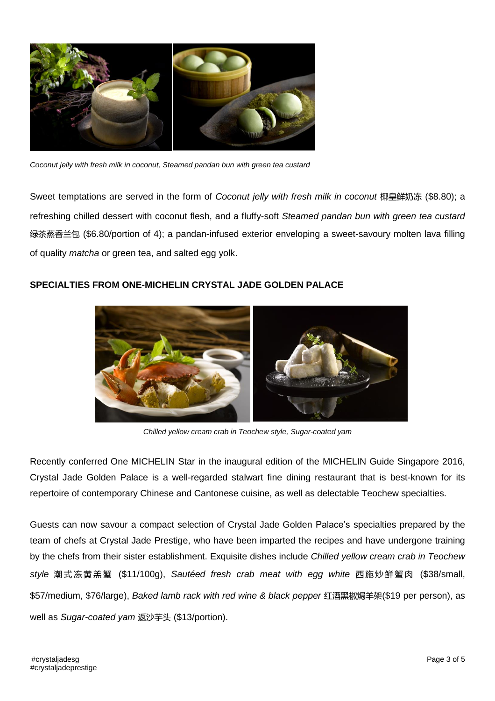

*Coconut jelly with fresh milk in coconut, Steamed pandan bun with green tea custard*

Sweet temptations are served in the form of *Coconut jelly with fresh milk in coconut* 椰皇鲜奶冻 (\$8.80); a refreshing chilled dessert with coconut flesh, and a fluffy-soft *Steamed pandan bun with green tea custard* 绿茶蒸香兰包 (\$6.80/portion of 4); a pandan-infused exterior enveloping a sweet-savoury molten lava filling of quality *matcha* or green tea, and salted egg yolk.

### **SPECIALTIES FROM ONE-MICHELIN CRYSTAL JADE GOLDEN PALACE**



*Chilled yellow cream crab in Teochew style, Sugar-coated yam*

Recently conferred One MICHELIN Star in the inaugural edition of the MICHELIN Guide Singapore 2016, Crystal Jade Golden Palace is a well-regarded stalwart fine dining restaurant that is best-known for its repertoire of contemporary Chinese and Cantonese cuisine, as well as delectable Teochew specialties.

Guests can now savour a compact selection of Crystal Jade Golden Palace's specialties prepared by the team of chefs at Crystal Jade Prestige, who have been imparted the recipes and have undergone training by the chefs from their sister establishment. Exquisite dishes include *Chilled yellow cream crab in Teochew style* 潮 式 冻 黄 羔 蟹 (\$11/100g), *Sautéed fresh crab meat with egg white* 西 施 炒 鲜 蟹 肉 (\$38/small, \$57/medium, \$76/large), *Baked lamb rack with red wine & black pepper* 红酒黑椒焗羊架(\$19 per person), as well as *Sugar-coated yam* 返沙芋头 (\$13/portion).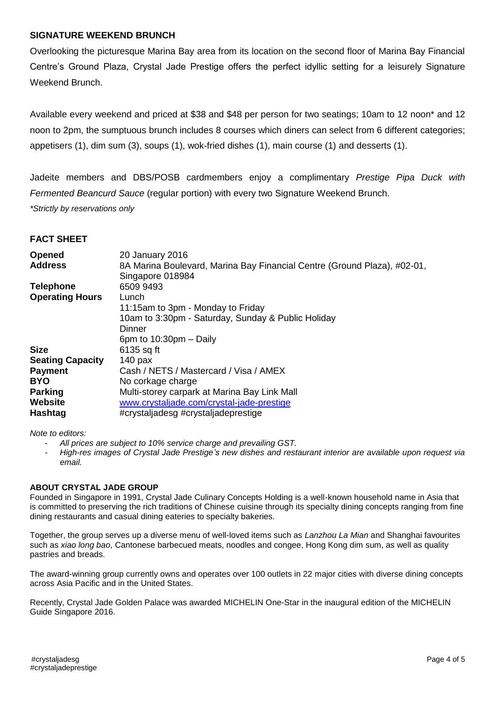#### **SIGNATURE WEEKEND BRUNCH**

Overlooking the picturesque Marina Bay area from its location on the second floor of Marina Bay Financial Centre's Ground Plaza, Crystal Jade Prestige offers the perfect idyllic setting for a leisurely Signature Weekend Brunch.

Available every weekend and priced at \$38 and \$48 per person for two seatings; 10am to 12 noon\* and 12 noon to 2pm, the sumptuous brunch includes 8 courses which diners can select from 6 different categories; appetisers (1), dim sum (3), soups (1), wok-fried dishes (1), main course (1) and desserts (1).

Jadeite members and DBS/POSB cardmembers enjoy a complimentary *Prestige Pipa Duck with Fermented Beancurd Sauce* (regular portion) with every two Signature Weekend Brunch. *\*Strictly by reservations only*

#### **FACT SHEET**

| <b>Opened</b>           | 20 January 2016                                                          |
|-------------------------|--------------------------------------------------------------------------|
| <b>Address</b>          | 8A Marina Boulevard, Marina Bay Financial Centre (Ground Plaza), #02-01, |
|                         | Singapore 018984                                                         |
| <b>Telephone</b>        | 6509 9493                                                                |
| <b>Operating Hours</b>  | Lunch                                                                    |
|                         | 11:15am to 3pm - Monday to Friday                                        |
|                         | 10am to 3:30pm - Saturday, Sunday & Public Holiday                       |
|                         | Dinner                                                                   |
|                         | 6pm to $10:30$ pm $-$ Daily                                              |
| <b>Size</b>             | 6135 sq ft                                                               |
| <b>Seating Capacity</b> | $140$ pax                                                                |
| <b>Payment</b>          | Cash / NETS / Mastercard / Visa / AMEX                                   |
| <b>BYO</b>              | No corkage charge                                                        |
| <b>Parking</b>          | Multi-storey carpark at Marina Bay Link Mall                             |
| <b>Website</b>          | www.crystaljade.com/crystal-jade-prestige                                |
| Hashtag                 | #crystaljadesg #crystaljadeprestige                                      |

*Note to editors:* 

- *All prices are subject to 10% service charge and prevailing GST.*
- *High-res images of Crystal Jade Prestige's new dishes and restaurant interior are available upon request via email.*

#### **ABOUT CRYSTAL JADE GROUP**

Founded in Singapore in 1991, Crystal Jade Culinary Concepts Holding is a well-known household name in Asia that is committed to preserving the rich traditions of Chinese cuisine through its specialty dining concepts ranging from fine dining restaurants and casual dining eateries to specialty bakeries.

Together, the group serves up a diverse menu of well-loved items such as *Lanzhou La Mian* and Shanghai favourites such as *xiao long bao*, Cantonese barbecued meats, noodles and congee, Hong Kong dim sum, as well as quality pastries and breads.

The award-winning group currently owns and operates over 100 outlets in 22 major cities with diverse dining concepts across Asia Pacific and in the United States.

Recently, Crystal Jade Golden Palace was awarded MICHELIN One-Star in the inaugural edition of the MICHELIN Guide Singapore 2016.